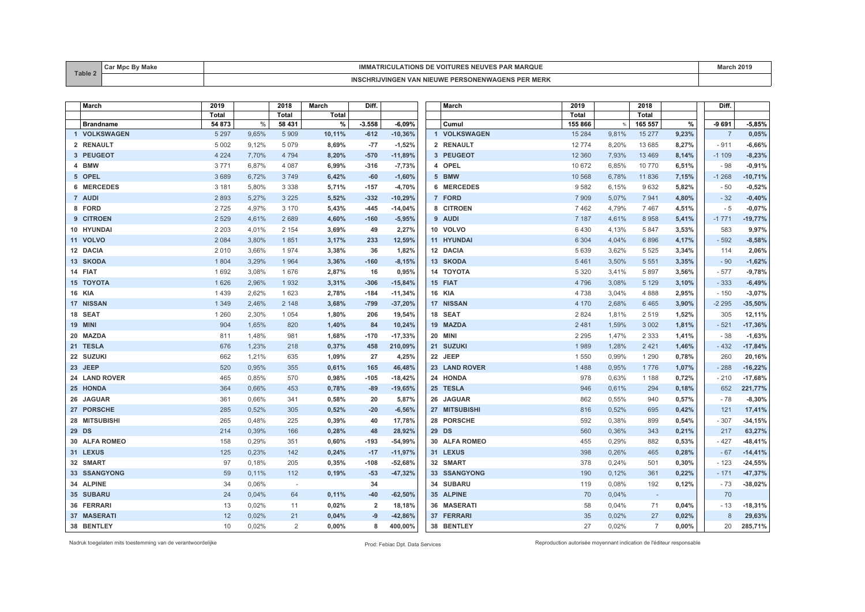| Table 2 | $\cdots$ | <b>RIU.III</b>                                                                   |  |
|---------|----------|----------------------------------------------------------------------------------|--|
|         |          | . D K<br><b>NIEUWE</b><br>$\mathbf{V}$<br>∵JN⊢NW.<br>14 G<br>,,,,,,<br>אז או בוי |  |

| March            | 2019    |       | 2018         | <b>March</b> | Diff.          |           | March         | 2019     |       | 2018           |       | Diff.          |           |
|------------------|---------|-------|--------------|--------------|----------------|-----------|---------------|----------|-------|----------------|-------|----------------|-----------|
|                  | Total   |       | <b>Total</b> | Total        |                |           |               | Total    |       | Total          |       |                |           |
| <b>Brandname</b> | 54 873  | $\%$  | 58 431       | %            | $-3.558$       | $-6,09%$  | Cumul         | 155 866  |       | 165 557        | %     | $-9691$        | $-5,85%$  |
| 1 VOLKSWAGEN     | 5 2 9 7 | 9,65% | 5 9 0 9      | 10,11%       | $-612$         | $-10,36%$ | 1 VOLKSWAGEN  | 15 2 84  | 9,81% | 15 277         | 9,23% | $\overline{7}$ | 0,05%     |
| 2 RENAULT        | 5 0 0 2 | 9,12% | 5 0 7 9      | 8,69%        | $-77$          | $-1,52%$  | 2 RENAULT     | 12774    | 8,20% | 13 685         | 8,27% | $-911$         | $-6,66%$  |
| 3 PEUGEOT        | 4 2 2 4 | 7,70% | 4 7 9 4      | 8,20%        | $-570$         | $-11,89%$ | 3 PEUGEOT     | 12 3 6 0 | 7,93% | 13 4 69        | 8,14% | $-1109$        | $-8,23%$  |
| 4 BMW            | 3771    | 6,87% | 4 0 8 7      | 6,99%        | $-316$         | $-7,73%$  | 4 OPEL        | 10 672   | 6,85% | 10770          | 6,51% | - 98           | $-0,91%$  |
| 5 OPEL           | 3689    | 6,72% | 3749         | 6,42%        | $-60$          | $-1,60%$  | 5 BMW         | 10 568   | 6,78% | 11836          | 7,15% | $-1268$        | $-10,71%$ |
| 6 MERCEDES       | 3 1 8 1 | 5,80% | 3 3 3 8      | 5,71%        | $-157$         | $-4,70%$  | 6 MERCEDES    | 9582     | 6,15% | 9632           | 5,82% | - 50           | $-0,52%$  |
| 7 AUDI           | 2893    | 5,27% | 3 2 2 5      | 5,52%        | $-332$         | $-10,29%$ | 7 FORD        | 7909     | 5,07% | 7941           | 4,80% | $-32$          | $-0,40%$  |
| 8 FORD           | 2725    | 4,97% | 3 1 7 0      | 5,43%        | $-445$         | $-14,04%$ | 8 CITROEN     | 7462     | 4,79% | 7467           | 4,51% | $-5$           | $-0,07%$  |
| 9 CITROEN        | 2 5 2 9 | 4,61% | 2689         | 4,60%        | $-160$         | $-5,95%$  | 9 AUDI        | 7 1 8 7  | 4,61% | 8958           | 5,41% | $-1771$        | $-19,77%$ |
| 10 HYUNDAI       | 2 2 0 3 | 4,01% | 2 1 5 4      | 3,69%        | 49             | 2,27%     | 10 VOLVO      | 6430     | 4,13% | 5 8 4 7        | 3,53% | 583            | 9,97%     |
| 11 VOLVO         | 2 0 8 4 | 3,80% | 1851         | 3,17%        | 233            | 12,59%    | 11 HYUNDAI    | 6 3 0 4  | 4,04% | 6896           | 4,17% | $-592$         | $-8,58%$  |
| 12 DACIA         | 2 0 1 0 | 3,66% | 1974         | 3,38%        | 36             | 1,82%     | 12 DACIA      | 5639     | 3,62% | 5 5 2 5        | 3,34% | 114            | 2,06%     |
| 13 SKODA         | 1 8 0 4 | 3,29% | 1964         | 3,36%        | $-160$         | $-8,15%$  | 13 SKODA      | 5461     | 3,50% | 5 5 5 1        | 3,35% | $-90$          | $-1,62%$  |
| 14 FIAT          | 1692    | 3,08% | 1676         | 2,87%        | 16             | 0,95%     | 14 TOYOTA     | 5 3 2 0  | 3,41% | 5897           | 3,56% | $-577$         | $-9,78%$  |
| <b>15 TOYOTA</b> | 1 6 2 6 | 2,96% | 1932         | 3,31%        | $-306$         | $-15,84%$ | 15 FIAT       | 4796     | 3,08% | 5 1 2 9        | 3,10% | $-333$         | $-6,49%$  |
| <b>16 KIA</b>    | 1439    | 2,62% | 1 6 2 3      | 2,78%        | $-184$         | $-11,34%$ | <b>16 KIA</b> | 4738     | 3,04% | 4 8 8 8        | 2,95% | $-150$         | $-3,07%$  |
| 17 NISSAN        | 1 3 4 9 | 2,46% | 2 1 4 8      | 3,68%        | $-799$         | $-37,20%$ | 17 NISSAN     | 4 170    | 2,68% | 6465           | 3,90% | $-2295$        | $-35,50%$ |
| 18 SEAT          | 1 2 6 0 | 2,30% | 1 0 5 4      | 1,80%        | 206            | 19,54%    | 18 SEAT       | 2 8 2 4  | 1,81% | 2519           | 1,52% | 305            | 12,11%    |
| <b>19 MINI</b>   | 904     | 1.65% | 820          | 1,40%        | 84             | 10,24%    | 19 MAZDA      | 2 4 8 1  | 1,59% | 3 0 0 2        | 1,81% | $-521$         | $-17,36%$ |
| 20 MAZDA         | 811     | 1,48% | 981          | 1,68%        | $-170$         | $-17,33%$ | 20 MINI       | 2 2 9 5  | 1,47% | 2 3 3 3        | 1,41% | $-38$          | $-1,63%$  |
| 21 TESLA         | 676     | 1,23% | 218          | 0,37%        | 458            | 210,09%   | 21 SUZUKI     | 1989     | 1,28% | 2 4 2 1        | 1,46% | $-432$         | $-17,84%$ |
| 22 SUZUKI        | 662     | 1,21% | 635          | 1,09%        | 27             | 4,25%     | 22 JEEP       | 1550     | 0,99% | 1 2 9 0        | 0,78% | 260            | 20,16%    |
| 23 JEEP          | 520     | 0,95% | 355          | 0,61%        | 165            | 46,48%    | 23 LAND ROVER | 1488     | 0,95% | 1776           | 1,07% | $-288$         | $-16,22%$ |
| 24 LAND ROVER    | 465     | 0,85% | 570          | 0,98%        | $-105$         | $-18,42%$ | 24 HONDA      | 978      | 0,63% | 1 1 8 8        | 0,72% | $-210$         | $-17,68%$ |
| 25 HONDA         | 364     | 0,66% | 453          | 0,78%        | $-89$          | $-19,65%$ | 25 TESLA      | 946      | 0,61% | 294            | 0,18% | 652            | 221,77%   |
| 26 JAGUAR        | 361     | 0,66% | 341          | 0,58%        | 20             | 5,87%     | 26 JAGUAR     | 862      | 0,55% | 940            | 0,57% | $-78$          | $-8,30%$  |
| 27 PORSCHE       | 285     | 0,52% | 305          | 0,52%        | $-20$          | $-6,56%$  | 27 MITSUBISHI | 816      | 0,52% | 695            | 0,42% | 121            | 17,41%    |
| 28 MITSUBISHI    | 265     | 0,48% | 225          | 0,39%        | 40             | 17,78%    | 28 PORSCHE    | 592      | 0,38% | 899            | 0,54% | $-307$         | $-34,15%$ |
| 29 DS            | 214     | 0,39% | 166          | 0,28%        | 48             | 28,92%    | 29 DS         | 560      | 0,36% | 343            | 0,21% | 217            | 63,27%    |
| 30 ALFA ROMEO    | 158     | 0,29% | 351          | 0,60%        | $-193$         | $-54,99%$ | 30 ALFA ROMEO | 455      | 0,29% | 882            | 0,53% | $-427$         | $-48,41%$ |
| 31 LEXUS         | 125     | 0.23% | 142          | 0,24%        | $-17$          | $-11,97%$ | 31 LEXUS      | 398      | 0.26% | 465            | 0,28% | $-67$          | $-14,41%$ |
| 32 SMART         | 97      | 0,18% | 205          | 0,35%        | $-108$         | $-52,68%$ | 32 SMART      | 378      | 0,24% | 501            | 0,30% | $-123$         | $-24,55%$ |
| 33 SSANGYONG     | 59      | 0,11% | 112          | 0,19%        | $-53$          | $-47,32%$ | 33 SSANGYONG  | 190      | 0,12% | 361            | 0,22% | $-171$         | $-47,37%$ |
| 34 ALPINE        | 34      | 0,06% | $\sim$       |              | 34             |           | 34 SUBARU     | 119      | 0,08% | 192            | 0,12% | $-73$          | $-38,02%$ |
| 35 SUBARU        | 24      | 0,04% | 64           | 0,11%        | $-40$          | $-62,50%$ | 35 ALPINE     | 70       | 0,04% | $\sim$ $-$     |       | 70             |           |
| 36 FERRARI       | 13      | 0,02% | 11           | 0,02%        | $\overline{2}$ | 18,18%    | 36 MASERATI   | 58       | 0,04% | 71             | 0,04% | - 13           | $-18,31%$ |
| 37 MASERATI      | 12      | 0,02% | 21           | 0,04%        | $-9$           | $-42,86%$ | 37 FERRARI    | 35       | 0,02% | 27             | 0,02% | 8              | 29,63%    |
| 38 BENTLEY       | 10      | 0,02% | 2            | 0,00%        | 8              | 400,00%   | 38 BENTLEY    | 27       | 0,02% | $\overline{7}$ | 0,00% | 20             | 285,71%   |

Nadruk toegelaten mits toestemming van de verantwoordelijke Prod: Febiac Dpt. Data Services Reproduction autorisée moyennant indication de l'éditeur responsable